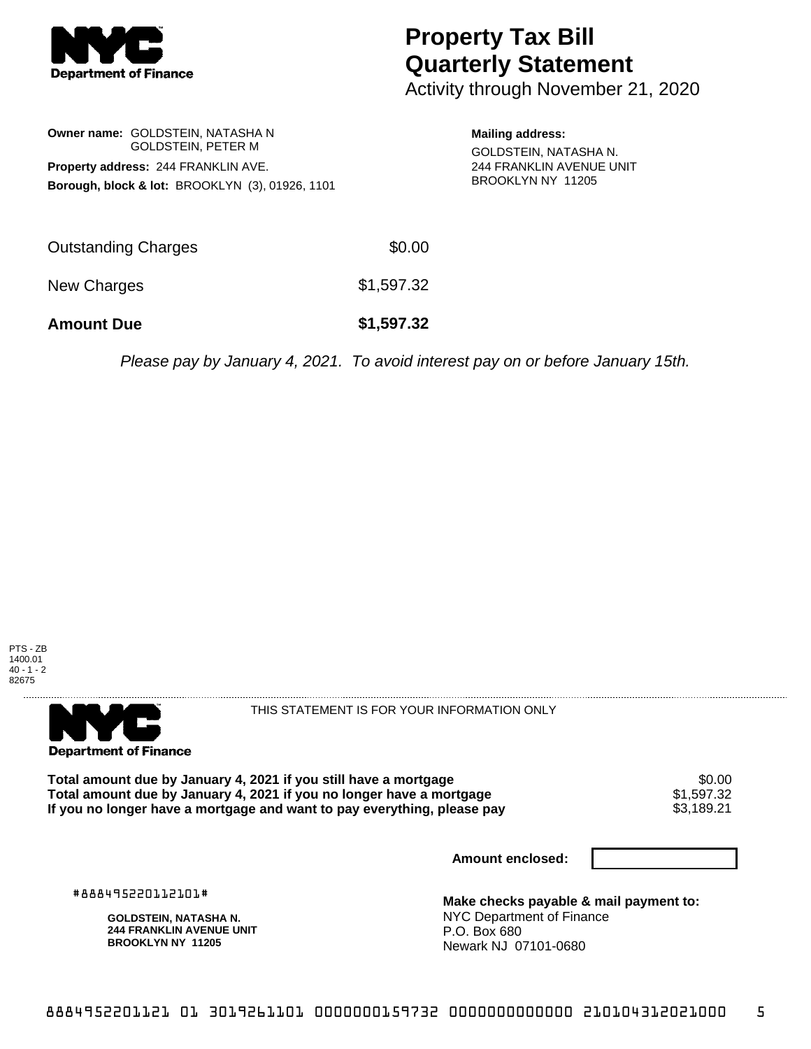

## **Property Tax Bill Quarterly Statement**

Activity through November 21, 2020

**Owner name:** GOLDSTEIN, NATASHA N GOLDSTEIN, PETER M **Property address:** 244 FRANKLIN AVE. **Borough, block & lot:** BROOKLYN (3), 01926, 1101 **Mailing address:**

GOLDSTEIN, NATASHA N. 244 FRANKLIN AVENUE UNIT BROOKLYN NY 11205

| <b>Amount Due</b>   | \$1,597.32 |
|---------------------|------------|
| New Charges         | \$1,597.32 |
| Outstanding Charges | \$0.00     |

Please pay by January 4, 2021. To avoid interest pay on or before January 15th.





THIS STATEMENT IS FOR YOUR INFORMATION ONLY

Total amount due by January 4, 2021 if you still have a mortgage **\$0.00** \$0.00<br>Total amount due by January 4, 2021 if you no longer have a mortgage **\$1,597.32 Total amount due by January 4, 2021 if you no longer have a mortgage**  $$1,597.32$$ **<br>If you no longer have a mortgage and want to pay everything, please pay**  $$3,189.21$$ If you no longer have a mortgage and want to pay everything, please pay

**Amount enclosed:**

#888495220112101#

**GOLDSTEIN, NATASHA N. 244 FRANKLIN AVENUE UNIT BROOKLYN NY 11205**

**Make checks payable & mail payment to:** NYC Department of Finance P.O. Box 680 Newark NJ 07101-0680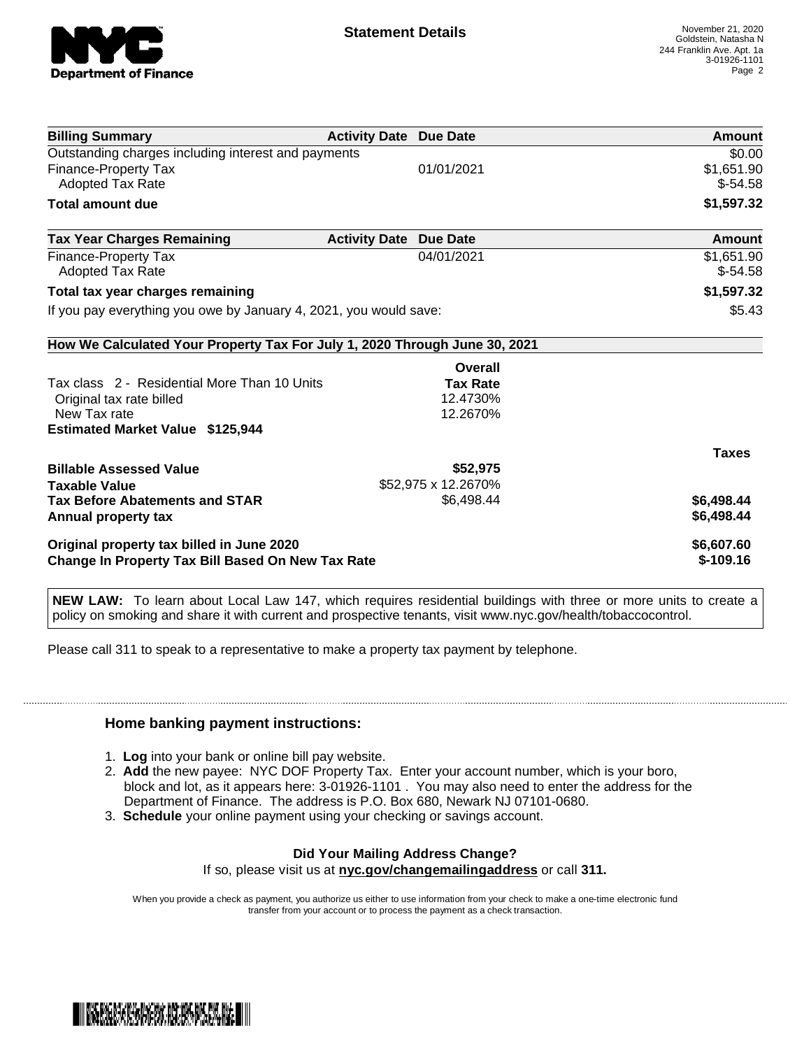

| <b>Billing Summary</b>                                                     | <b>Activity Date Due Date</b> |                     | Amount       |
|----------------------------------------------------------------------------|-------------------------------|---------------------|--------------|
| Outstanding charges including interest and payments                        |                               |                     | \$0.00       |
| <b>Finance-Property Tax</b>                                                |                               | 01/01/2021          | \$1,651.90   |
| <b>Adopted Tax Rate</b>                                                    |                               |                     | $$-54.58$    |
| <b>Total amount due</b>                                                    |                               |                     | \$1,597.32   |
| <b>Tax Year Charges Remaining</b>                                          | <b>Activity Date</b>          | <b>Due Date</b>     | Amount       |
| <b>Finance-Property Tax</b>                                                |                               | 04/01/2021          | \$1,651.90   |
| <b>Adopted Tax Rate</b>                                                    |                               |                     | $$-54.58$    |
| Total tax year charges remaining                                           |                               |                     | \$1,597.32   |
| If you pay everything you owe by January 4, 2021, you would save:          |                               |                     | \$5.43       |
| How We Calculated Your Property Tax For July 1, 2020 Through June 30, 2021 |                               |                     |              |
|                                                                            |                               | Overall             |              |
| Tax class 2 - Residential More Than 10 Units                               |                               | <b>Tax Rate</b>     |              |
| Original tax rate billed                                                   |                               | 12.4730%            |              |
| New Tax rate                                                               |                               | 12.2670%            |              |
| <b>Estimated Market Value \$125,944</b>                                    |                               |                     |              |
|                                                                            |                               |                     | <b>Taxes</b> |
| <b>Billable Assessed Value</b>                                             |                               | \$52,975            |              |
| <b>Taxable Value</b>                                                       |                               | \$52,975 x 12.2670% |              |
| <b>Tax Before Abatements and STAR</b>                                      |                               | \$6,498.44          | \$6,498.44   |
| Annual property tax                                                        |                               |                     | \$6,498.44   |
| Original property tax billed in June 2020                                  |                               |                     | \$6,607.60   |
| <b>Change In Property Tax Bill Based On New Tax Rate</b>                   |                               |                     | $$-109.16$   |

**NEW LAW:** To learn about Local Law 147, which requires residential buildings with three or more units to create a policy on smoking and share it with current and prospective tenants, visit www.nyc.gov/health/tobaccocontrol.

Please call 311 to speak to a representative to make a property tax payment by telephone.

## **Home banking payment instructions:**

- 1. **Log** into your bank or online bill pay website.
- 2. **Add** the new payee: NYC DOF Property Tax. Enter your account number, which is your boro, block and lot, as it appears here: 3-01926-1101 . You may also need to enter the address for the Department of Finance. The address is P.O. Box 680, Newark NJ 07101-0680.
- 3. **Schedule** your online payment using your checking or savings account.

## **Did Your Mailing Address Change?**

If so, please visit us at **nyc.gov/changemailingaddress** or call **311.**

When you provide a check as payment, you authorize us either to use information from your check to make a one-time electronic fund transfer from your account or to process the payment as a check transaction.